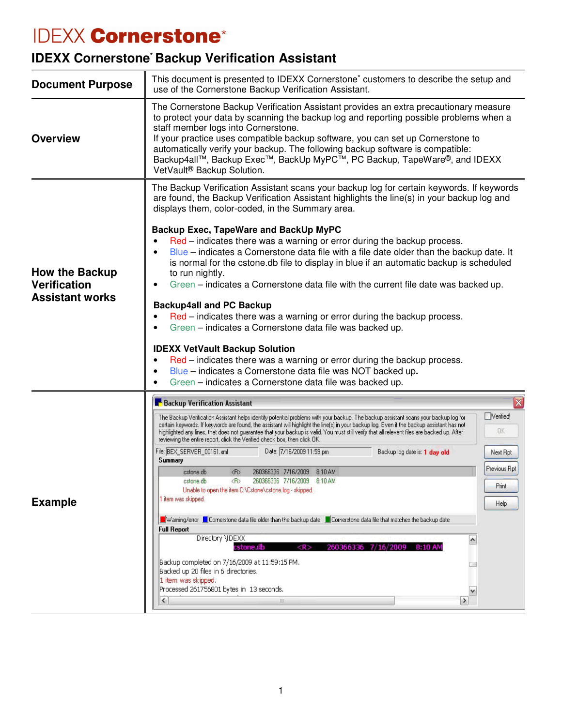## **IDEXX Cornerstone\***

## **IDEXX Cornerstone\* Backup Verification Assistant**

| <b>Document Purpose</b>                                                | This document is presented to IDEXX Cornerstone <sup>*</sup> customers to describe the setup and<br>use of the Cornerstone Backup Verification Assistant.                                                                                                                                                                                                                                                                                                                                                                                                                                                                                                                                                                                                                                                                                                                                                                                                                                                                                                                                                                                                                                                                                                                                                                                                                                                                 |                                                                                                      |
|------------------------------------------------------------------------|---------------------------------------------------------------------------------------------------------------------------------------------------------------------------------------------------------------------------------------------------------------------------------------------------------------------------------------------------------------------------------------------------------------------------------------------------------------------------------------------------------------------------------------------------------------------------------------------------------------------------------------------------------------------------------------------------------------------------------------------------------------------------------------------------------------------------------------------------------------------------------------------------------------------------------------------------------------------------------------------------------------------------------------------------------------------------------------------------------------------------------------------------------------------------------------------------------------------------------------------------------------------------------------------------------------------------------------------------------------------------------------------------------------------------|------------------------------------------------------------------------------------------------------|
| <b>Overview</b>                                                        | The Cornerstone Backup Verification Assistant provides an extra precautionary measure<br>to protect your data by scanning the backup log and reporting possible problems when a<br>staff member logs into Cornerstone.<br>If your practice uses compatible backup software, you can set up Cornerstone to<br>automatically verify your backup. The following backup software is compatible:<br>Backup4all™, Backup Exec™, BackUp MyPC™, PC Backup, TapeWare®, and IDEXX<br>VetVault <sup>®</sup> Backup Solution.                                                                                                                                                                                                                                                                                                                                                                                                                                                                                                                                                                                                                                                                                                                                                                                                                                                                                                         |                                                                                                      |
| <b>How the Backup</b><br><b>Verification</b><br><b>Assistant works</b> | The Backup Verification Assistant scans your backup log for certain keywords. If keywords<br>are found, the Backup Verification Assistant highlights the line(s) in your backup log and<br>displays them, color-coded, in the Summary area.<br>Backup Exec, TapeWare and BackUp MyPC<br>Red – indicates there was a warning or error during the backup process.<br>Blue – indicates a Cornerstone data file with a file date older than the backup date. It<br>is normal for the cstone.db file to display in blue if an automatic backup is scheduled<br>to run nightly.<br>Green – indicates a Cornerstone data file with the current file date was backed up.<br><b>Backup4all and PC Backup</b><br>Red – indicates there was a warning or error during the backup process.<br>Green - indicates a Cornerstone data file was backed up.<br><b>IDEXX VetVault Backup Solution</b><br>Red – indicates there was a warning or error during the backup process.<br>Blue - indicates a Cornerstone data file was NOT backed up.<br>Green - indicates a Cornerstone data file was backed up.                                                                                                                                                                                                                                                                                                                                 |                                                                                                      |
| <b>Example</b>                                                         | <b>Backup Verification Assistant</b><br>The Backup Verification Assistant helps identify potential problems with your backup. The backup assistant scans your backup log for<br>certain keywords. If keywords are found, the assistant will highlight the line(s) in your backup log. Even if the backup assistant has not<br>highlighted any lines, that does not guarantee that your backup is valid. You must still verify that all relevant files are backed up. After<br>reviewing the entire report, click the Verified check box, then click DK.<br>Date: 7/16/2009 11:59 pm<br>File: BEX_SERVER_00161.xml<br>Backup log date is: 1 day old<br>Summary<br>260366336 7/16/2009 8:10 AM<br>$\langle R \rangle$<br>cstone.db<br>$\langle R \rangle$<br>260366336 7/16/2009 8:10 AM<br>cstone.db<br>Unable to open the item C:\Cstone\cstone.log - skipped.<br>1 item was skipped.<br>Warning/error <b>N</b> Cornerstone data file older than the backup date N Cornerstone data file that matches the backup date<br><b>Full Report</b><br>Directory \IDEXX<br>$\hat{\phantom{a}}$<br>cstone db<br><r><br/>260366336 7/16/2009 8:10 AM<br/>Backup completed on 7/16/2009 at 11:59:15 PM.<br/><math>\Box</math><br/>Backed up 20 files in 6 directories.<br/>1 item was skipped.<br/>Processed 261756801 bytes in 13 seconds.<br/>٧<br/><math>\left\langle \right\rangle</math><br/><math>\rightarrow</math><br/>皿</r> | $\overline{\mathbf{x}}$<br><b>Werified</b><br><b>DK</b><br>Next Rpt<br>Previous Rpt<br>Print<br>Help |